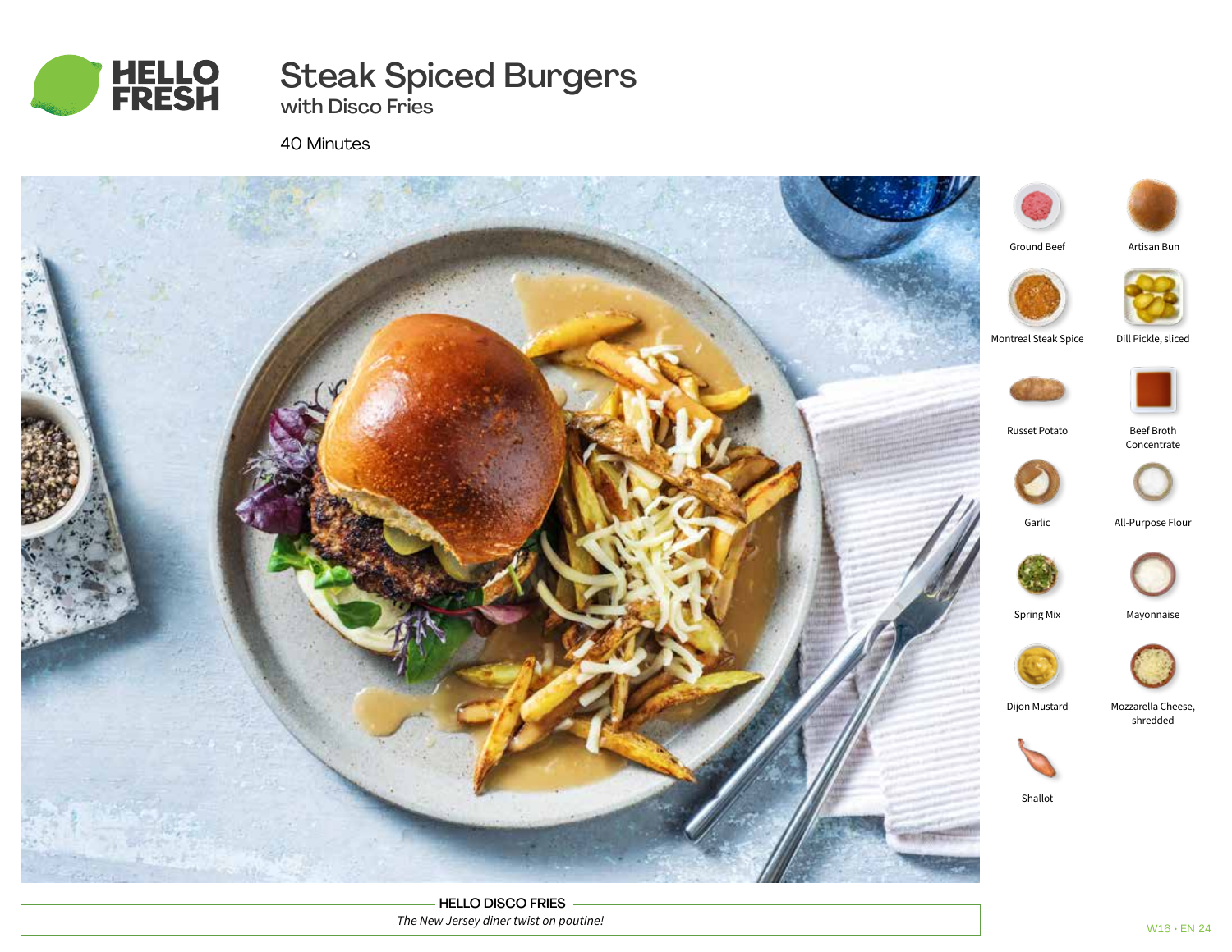

# Steak Spiced Burgers

with Disco Fries

40 Minutes



HELLO DISCO FRIES *The New Jersey diner twist on poutine!*